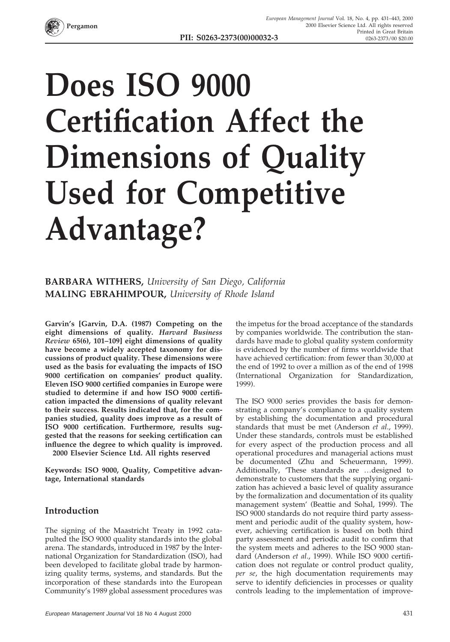

## **Does ISO 9000 Certification Affect the Dimensions of Quality Used for Competitive Advantage?**

## **BARBARA WITHERS,** *University of San Diego, California* **MALING EBRAHIMPOUR,** *University of Rhode Island*

**Garvin's [Garvin, D.A. (1987) Competing on the eight dimensions of quality.** *Harvard Business Review* **65(6), 101–109] eight dimensions of quality have become a widely accepted taxonomy for discussions of product quality. These dimensions were used as the basis for evaluating the impacts of ISO 9000 certification on companies' product quality. Eleven ISO 9000 certified companies in Europe were studied to determine if and how ISO 9000 certification impacted the dimensions of quality relevant to their success. Results indicated that, for the companies studied, quality does improve as a result of ISO 9000 certification. Furthermore, results suggested that the reasons for seeking certification can influence the degree to which quality is improved. 2000 Elsevier Science Ltd. All rights reserved**

**Keywords: ISO 9000, Quality, Competitive advantage, International standards**

## **Introduction**

The signing of the Maastricht Treaty in 1992 catapulted the ISO 9000 quality standards into the global arena. The standards, introduced in 1987 by the International Organization for Standardization (ISO), had been developed to facilitate global trade by harmonizing quality terms, systems, and standards. But the incorporation of these standards into the European Community's 1989 global assessment procedures was the impetus for the broad acceptance of the standards by companies worldwide. The contribution the standards have made to global quality system conformity is evidenced by the number of firms worldwide that have achieved certification: from fewer than 30,000 at the end of 1992 to over a million as of the end of 1998 (International Organization for Standardization, 1999).

The ISO 9000 series provides the basis for demonstrating a company's compliance to a quality system by establishing the documentation and procedural standards that must be met (Anderson *et al*., 1999). Under these standards, controls must be established for every aspect of the production process and all operational procedures and managerial actions must be documented (Zhu and Scheuermann, 1999). Additionally, 'These standards are …designed to demonstrate to customers that the supplying organization has achieved a basic level of quality assurance by the formalization and documentation of its quality management system' (Beattie and Sohal, 1999). The ISO 9000 standards do not require third party assessment and periodic audit of the quality system, however, achieving certification is based on both third party assessment and periodic audit to confirm that the system meets and adheres to the ISO 9000 standard (Anderson *et al*., 1999). While ISO 9000 certification does not regulate or control product quality, *per se*, the high documentation requirements may serve to identify deficiencies in processes or quality controls leading to the implementation of improve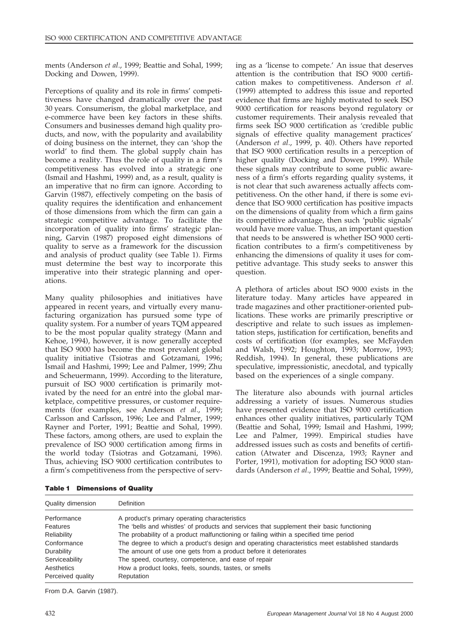ments (Anderson *et al*., 1999; Beattie and Sohal, 1999; Docking and Dowen, 1999).

Perceptions of quality and its role in firms' competitiveness have changed dramatically over the past 30 years. Consumerism, the global marketplace, and e-commerce have been key factors in these shifts. Consumers and businesses demand high quality products, and now, with the popularity and availability of doing business on the internet, they can 'shop the world' to find them. The global supply chain has become a reality. Thus the role of quality in a firm's competitiveness has evolved into a strategic one (Ismail and Hashmi, 1999) and, as a result, quality is an imperative that no firm can ignore. According to Garvin (1987), effectively competing on the basis of quality requires the identification and enhancement of those dimensions from which the firm can gain a strategic competitive advantage. To facilitate the incorporation of quality into firms' strategic planning, Garvin (1987) proposed eight dimensions of quality to serve as a framework for the discussion and analysis of product quality (see Table 1). Firms must determine the best way to incorporate this imperative into their strategic planning and operations.

Many quality philosophies and initiatives have appeared in recent years, and virtually every manufacturing organization has pursued some type of quality system. For a number of years TQM appeared to be the most popular quality strategy (Mann and Kehoe, 1994), however, it is now generally accepted that ISO 9000 has become the most prevalent global quality initiative (Tsiotras and Gotzamani, 1996; Ismail and Hashmi, 1999; Lee and Palmer, 1999; Zhu and Scheuermann, 1999). According to the literature, pursuit of ISO 9000 certification is primarily motivated by the need for an entré into the global marketplace, competitive pressures, or customer requirements (for examples, see Anderson *et al*., 1999; Carlsson and Carlsson, 1996; Lee and Palmer, 1999; Rayner and Porter, 1991; Beattie and Sohal, 1999). These factors, among others, are used to explain the prevalence of ISO 9000 certification among firms in the world today (Tsiotras and Gotzamani, 1996). Thus, achieving ISO 9000 certification contributes to a firm's competitiveness from the perspective of serving as a 'license to compete.' An issue that deserves attention is the contribution that ISO 9000 certification makes to competitiveness. Anderson *et al*. (1999) attempted to address this issue and reported evidence that firms are highly motivated to seek ISO 9000 certification for reasons beyond regulatory or customer requirements. Their analysis revealed that firms seek ISO 9000 certification as 'credible public signals of effective quality management practices' (Anderson *et al*., 1999, p. 40). Others have reported that ISO 9000 certification results in a perception of higher quality (Docking and Dowen, 1999). While these signals may contribute to some public awareness of a firm's efforts regarding quality systems, it is not clear that such awareness actually affects competitiveness. On the other hand, if there is some evidence that ISO 9000 certification has positive impacts on the dimensions of quality from which a firm gains its competitive advantage, then such 'public signals' would have more value. Thus, an important question that needs to be answered is whether ISO 9000 certification contributes to a firm's competitiveness by enhancing the dimensions of quality it uses for competitive advantage. This study seeks to answer this question.

A plethora of articles about ISO 9000 exists in the literature today. Many articles have appeared in trade magazines and other practitioner-oriented publications. These works are primarily prescriptive or descriptive and relate to such issues as implementation steps, justification for certification, benefits and costs of certification (for examples, see McFayden and Walsh, 1992; Houghton, 1993; Morrow, 1993; Reddish, 1994). In general, these publications are speculative, impressionistic, anecdotal, and typically based on the experiences of a single company.

The literature also abounds with journal articles addressing a variety of issues. Numerous studies have presented evidence that ISO 9000 certification enhances other quality initiatives, particularly TQM (Beattie and Sohal, 1999; Ismail and Hashmi, 1999; Lee and Palmer, 1999). Empirical studies have addressed issues such as costs and benefits of certification (Atwater and Discenza, 1993; Rayner and Porter, 1991), motivation for adopting ISO 9000 standards (Anderson *et al*., 1999; Beattie and Sohal, 1999),

| Quality dimension | Definition                                                                                      |
|-------------------|-------------------------------------------------------------------------------------------------|
| Performance       | A product's primary operating characteristics                                                   |
| <b>Features</b>   | The 'bells and whistles' of products and services that supplement their basic functioning       |
| Reliability       | The probability of a product malfunctioning or failing within a specified time period           |
| Conformance       | The degree to which a product's design and operating characteristics meet established standards |
| Durability        | The amount of use one gets from a product before it deteriorates                                |
| Serviceability    | The speed, courtesy, competence, and ease of repair                                             |
| Aesthetics        | How a product looks, feels, sounds, tastes, or smells                                           |
| Perceived quality | Reputation                                                                                      |

**Table 1 Dimensions of Quality**

From D.A. Garvin (1987).